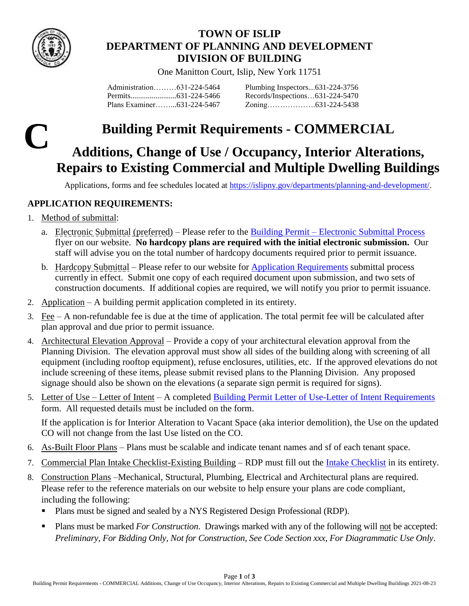

## **TOWN OF ISLIP DEPARTMENT OF PLANNING AND DEVELOPMENT DIVISION OF BUILDING**

One Manitton Court, Islip, New York 11751

| Administration631-224-5464 |
|----------------------------|
|                            |
| Plans Examiner631-224-5467 |

| Plumbing Inspectors631-224-3756 |  |
|---------------------------------|--|
| Records/Inspections631-224-5470 |  |
|                                 |  |

# **Building Permit Requirements - COMMERCIAL Additions, Change of Use / Occupancy, Interior Alterations, Repairs to Existing Commercial and Multiple Dwelling Buildings C**

Applications, forms and fee schedules located at https://islipny.gov/departments/planning-and-development/.

#### **APPLICATION REQUIREMENTS:**

- 1. Method of submittal:
	- a. Electronic Submittal (preferred) Please refer to the Building Permit [Electronic Submittal Process](https://islipny.gov/building-division-permits-list/986-document-upload-instructions-for-electronic-submissions-building/file) flyer on our website. **No hardcopy plans are required with the initial electronic submission.** Our staff will advise you on the total number of hardcopy documents required prior to permit issuance.
	- b. Hardcopy Submittal Please refer to our website for [Application Requirements](https://islipny.gov/community-and-services/documents/planning-development/980-planning-development-temporary-application-process-requirements-during-covid-19-pandemic/file) submittal process currently in effect. Submit one copy of each required document upon submission, and two sets of construction documents. If additional copies are required, we will notify you prior to permit issuance.
- 2. Application A building permit application completed in its entirety.
- 3. Fee A non-refundable fee is due at the time of application. The total permit fee will be calculated after plan approval and due prior to permit issuance.
- 4. Architectural Elevation Approval Provide a copy of your architectural elevation approval from the Planning Division. The elevation approval must show all sides of the building along with screening of all equipment (including rooftop equipment), refuse enclosures, utilities, etc. If the approved elevations do not include screening of these items, please submit revised plans to the Planning Division. Any proposed signage should also be shown on the elevations (a separate sign permit is required for signs).
- 5. Letter of Use Letter of Intent A completed [Building Permit Letter of Use-Letter of Intent Requirements](https://islipny.gov/building-division-permits-list/847-letter-of-use-letter-of-intent-requirements/file) form. All requested details must be included on the form.

If the application is for Interior Alteration to Vacant Space (aka interior demolition), the Use on the updated CO will not change from the last Use listed on the CO.

- 6. As-Built Floor Plans Plans must be scalable and indicate tenant names and sf of each tenant space.
- 7. Commercial Plan Intake Checklist-Existing Building RDP must fill out the [Intake Checklist](https://islipny.gov/building-division-permits-list/1033-building-permit-requirements-commercial-plans-intake-checklist-for-existing-buildings/file) in its entirety.
- 8. Construction Plans –Mechanical, Structural, Plumbing, Electrical and Architectural plans are required. Please refer to the reference materials on our website to help ensure your plans are code compliant, including the following:
	- Plans must be signed and sealed by a NYS Registered Design Professional (RDP).
	- Plans must be marked *For Construction*. Drawings marked with any of the following will not be accepted: *Preliminary, For Bidding Only, Not for Construction*, *See Code Section xxx, For Diagrammatic Use Only*.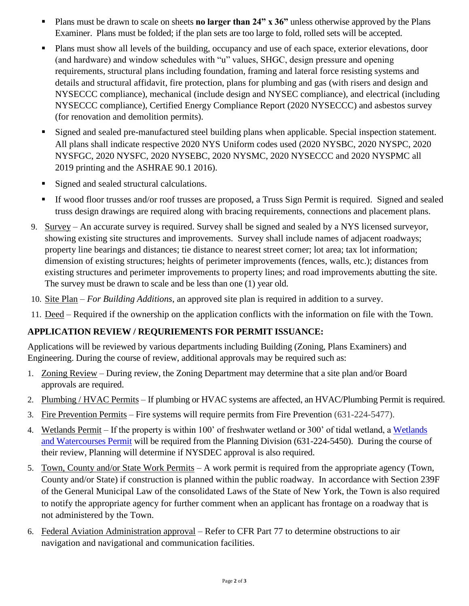- **Plans must be drawn to scale on sheets <b>no larger than 24"** x 36" unless otherwise approved by the Plans Examiner. Plans must be folded; if the plan sets are too large to fold, rolled sets will be accepted.
- Plans must show all levels of the building, occupancy and use of each space, exterior elevations, door (and hardware) and window schedules with "u" values, SHGC, design pressure and opening requirements, structural plans including foundation, framing and lateral force resisting systems and details and structural affidavit, fire protection, plans for plumbing and gas (with risers and design and NYSECCC compliance), mechanical (include design and NYSEC compliance), and electrical (including NYSECCC compliance), Certified Energy Compliance Report (2020 NYSECCC) and asbestos survey (for renovation and demolition permits).
- Signed and sealed pre-manufactured steel building plans when applicable. Special inspection statement. All plans shall indicate respective 2020 NYS Uniform codes used (2020 NYSBC, 2020 NYSPC, 2020 NYSFGC, 2020 NYSFC, 2020 NYSEBC, 2020 NYSMC, 2020 NYSECCC and 2020 NYSPMC all 2019 printing and the ASHRAE 90.1 2016).
- Signed and sealed structural calculations.
- If wood floor trusses and/or roof trusses are proposed, a Truss Sign Permit is required. Signed and sealed truss design drawings are required along with bracing requirements, connections and placement plans.
- 9. Survey An accurate survey is required. Survey shall be signed and sealed by a NYS licensed surveyor, showing existing site structures and improvements. Survey shall include names of adjacent roadways; property line bearings and distances; tie distance to nearest street corner; lot area; tax lot information; dimension of existing structures; heights of perimeter improvements (fences, walls, etc.); distances from existing structures and perimeter improvements to property lines; and road improvements abutting the site. The survey must be drawn to scale and be less than one (1) year old.
- 10. Site Plan *For Building Additions*, an approved site plan is required in addition to a survey.
- 11. Deed Required if the ownership on the application conflicts with the information on file with the Town.

#### **APPLICATION REVIEW / REQURIEMENTS FOR PERMIT ISSUANCE:**

Applications will be reviewed by various departments including Building (Zoning, Plans Examiners) and Engineering. During the course of review, additional approvals may be required such as:

- 1. Zoning Review During review, the Zoning Department may determine that a site plan and/or Board approvals are required.
- 2. Plumbing / HVAC Permits If plumbing or HVAC systems are affected, an HVAC/Plumbing Permit is required.
- 3. Fire Prevention Permits Fire systems will require permits from Fire Prevention (631-224-5477).
- 4. Wetlands Permit If the property is within 100' of freshwater wetland or 300' of tidal wetland, a [Wetlands](https://islipny.gov/community-and-services/documents/planning-development/planning-division/315-wetlands-and-watercourses-application/file)  [and Watercourses Permit](https://islipny.gov/community-and-services/documents/planning-development/planning-division/315-wetlands-and-watercourses-application/file) will be required from the Planning Division (631-224-5450). During the course of their review, Planning will determine if NYSDEC approval is also required.
- 5. Town, County and/or State Work Permits A work permit is required from the appropriate agency (Town, County and/or State) if construction is planned within the public roadway. In accordance with Section 239F of the General Municipal Law of the consolidated Laws of the State of New York, the Town is also required to notify the appropriate agency for further comment when an applicant has frontage on a roadway that is not administered by the Town.
- 6. Federal Aviation Administration approval Refer to CFR Part 77 to determine obstructions to air navigation and navigational and communication facilities.